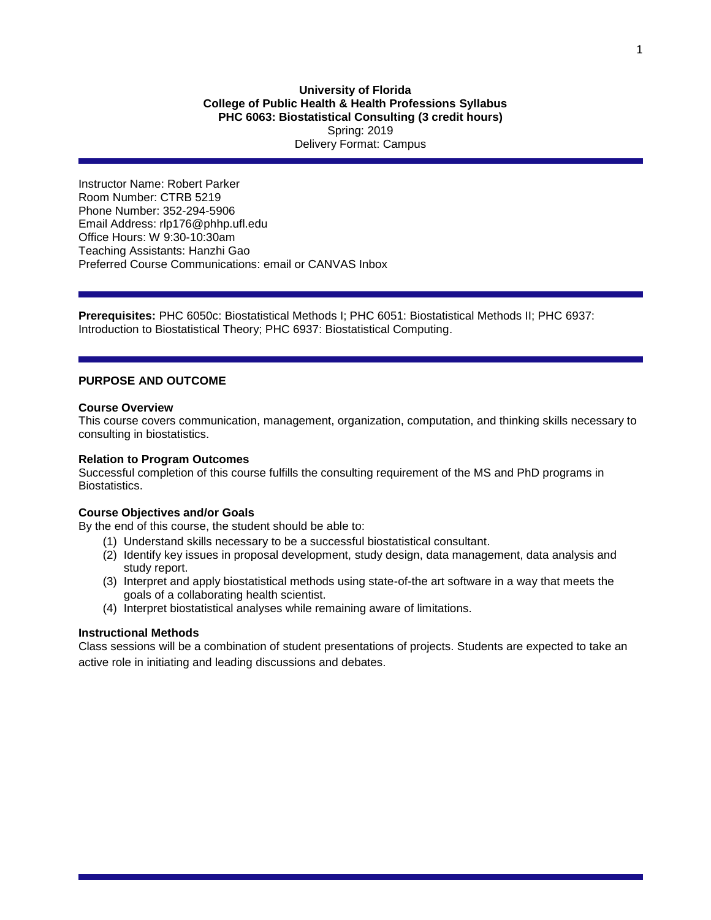# **University of Florida College of Public Health & Health Professions Syllabus PHC 6063: Biostatistical Consulting (3 credit hours)** Spring: 2019 Delivery Format: Campus

Instructor Name: Robert Parker Room Number: CTRB 5219 Phone Number: 352-294-5906 Email Address: rlp176@phhp.ufl.edu Office Hours: W 9:30-10:30am Teaching Assistants: Hanzhi Gao Preferred Course Communications: email or CANVAS Inbox

**Prerequisites:** PHC 6050c: Biostatistical Methods I; PHC 6051: Biostatistical Methods II; PHC 6937: Introduction to Biostatistical Theory; PHC 6937: Biostatistical Computing.

## **PURPOSE AND OUTCOME**

#### **Course Overview**

This course covers communication, management, organization, computation, and thinking skills necessary to consulting in biostatistics.

#### **Relation to Program Outcomes**

Successful completion of this course fulfills the consulting requirement of the MS and PhD programs in **Biostatistics** 

## **Course Objectives and/or Goals**

By the end of this course, the student should be able to:

- (1) Understand skills necessary to be a successful biostatistical consultant.
- (2) Identify key issues in proposal development, study design, data management, data analysis and study report.
- (3) Interpret and apply biostatistical methods using state-of-the art software in a way that meets the goals of a collaborating health scientist.
- (4) Interpret biostatistical analyses while remaining aware of limitations.

#### **Instructional Methods**

Class sessions will be a combination of student presentations of projects. Students are expected to take an active role in initiating and leading discussions and debates.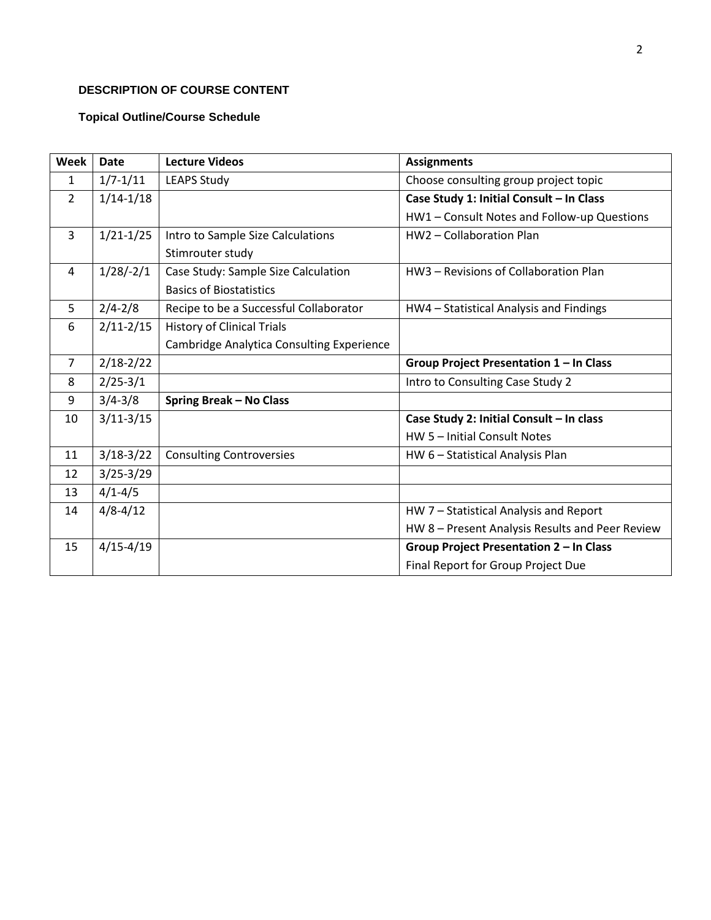# **DESCRIPTION OF COURSE CONTENT**

# **Topical Outline/Course Schedule**

| <b>Week</b>    | <b>Date</b>   | <b>Lecture Videos</b>                     | <b>Assignments</b>                              |
|----------------|---------------|-------------------------------------------|-------------------------------------------------|
| 1              | $1/7 - 1/11$  | <b>LEAPS Study</b>                        | Choose consulting group project topic           |
| $\overline{2}$ | $1/14 - 1/18$ |                                           | Case Study 1: Initial Consult - In Class        |
|                |               |                                           | HW1 - Consult Notes and Follow-up Questions     |
| 3              | $1/21 - 1/25$ | Intro to Sample Size Calculations         | HW2 - Collaboration Plan                        |
|                |               | Stimrouter study                          |                                                 |
| 4              | $1/28/-2/1$   | Case Study: Sample Size Calculation       | HW3 - Revisions of Collaboration Plan           |
|                |               | <b>Basics of Biostatistics</b>            |                                                 |
| 5              | $2/4 - 2/8$   | Recipe to be a Successful Collaborator    | HW4 - Statistical Analysis and Findings         |
| 6              | $2/11 - 2/15$ | <b>History of Clinical Trials</b>         |                                                 |
|                |               | Cambridge Analytica Consulting Experience |                                                 |
| $\overline{7}$ | $2/18 - 2/22$ |                                           | Group Project Presentation 1 - In Class         |
| 8              | $2/25 - 3/1$  |                                           | Intro to Consulting Case Study 2                |
| 9              | $3/4 - 3/8$   | <b>Spring Break - No Class</b>            |                                                 |
| 10             | $3/11-3/15$   |                                           | Case Study 2: Initial Consult - In class        |
|                |               |                                           | HW 5 - Initial Consult Notes                    |
| 11             | $3/18-3/22$   | <b>Consulting Controversies</b>           | HW 6 - Statistical Analysis Plan                |
| 12             | $3/25 - 3/29$ |                                           |                                                 |
| 13             | $4/1 - 4/5$   |                                           |                                                 |
| 14             | $4/8 - 4/12$  |                                           | HW 7 - Statistical Analysis and Report          |
|                |               |                                           | HW 8 - Present Analysis Results and Peer Review |
| 15             | $4/15 - 4/19$ |                                           | Group Project Presentation 2 - In Class         |
|                |               |                                           | Final Report for Group Project Due              |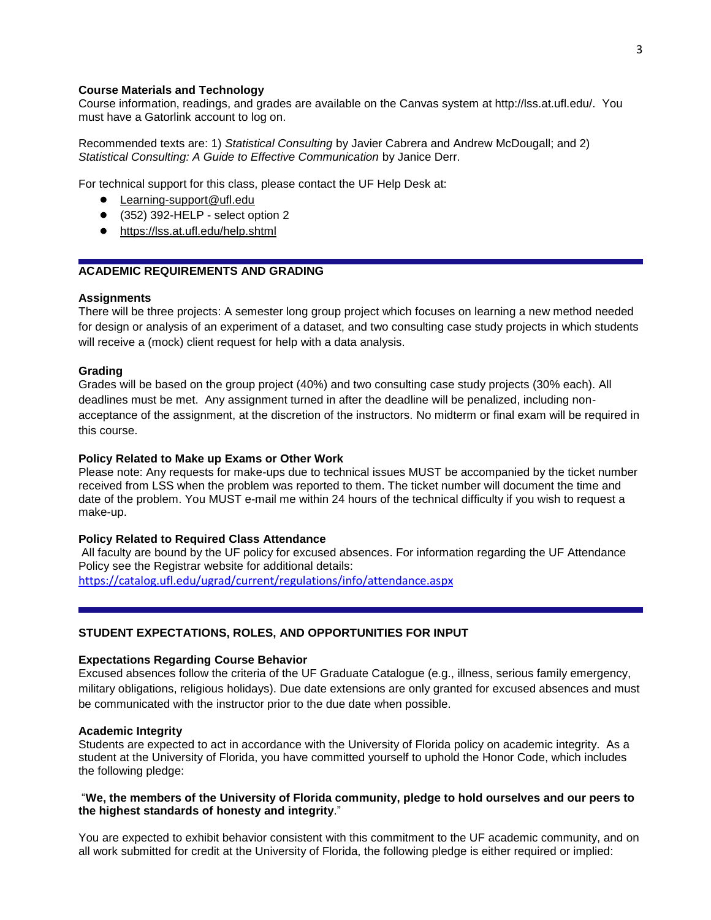## **Course Materials and Technology**

Course information, readings, and grades are available on the Canvas system at http://lss.at.ufl.edu/. You must have a Gatorlink account to log on.

Recommended texts are: 1) *Statistical Consulting* by Javier Cabrera and Andrew McDougall; and 2) *Statistical Consulting: A Guide to Effective Communication* by Janice Derr.

For technical support for this class, please contact the UF Help Desk at:

- [Learning-support@ufl.edu](file:///C:/Users/hackg/Desktop/Learning-support@ufl.edu)
- (352) 392-HELP select option 2
- <https://lss.at.ufl.edu/help.shtml>

# **ACADEMIC REQUIREMENTS AND GRADING**

#### **Assignments**

There will be three projects: A semester long group project which focuses on learning a new method needed for design or analysis of an experiment of a dataset, and two consulting case study projects in which students will receive a (mock) client request for help with a data analysis.

#### **Grading**

Grades will be based on the group project (40%) and two consulting case study projects (30% each). All deadlines must be met. Any assignment turned in after the deadline will be penalized, including nonacceptance of the assignment, at the discretion of the instructors. No midterm or final exam will be required in this course.

## **Policy Related to Make up Exams or Other Work**

Please note: Any requests for make-ups due to technical issues MUST be accompanied by the ticket number received from LSS when the problem was reported to them. The ticket number will document the time and date of the problem. You MUST e-mail me within 24 hours of the technical difficulty if you wish to request a make-up.

### **Policy Related to Required Class Attendance**

All faculty are bound by the UF policy for excused absences. For information regarding the UF Attendance Policy see the Registrar website for additional details: <https://catalog.ufl.edu/ugrad/current/regulations/info/attendance.aspx>

## **STUDENT EXPECTATIONS, ROLES, AND OPPORTUNITIES FOR INPUT**

## **Expectations Regarding Course Behavior**

Excused absences follow the criteria of the UF Graduate Catalogue (e.g., illness, serious family emergency, military obligations, religious holidays). Due date extensions are only granted for excused absences and must be communicated with the instructor prior to the due date when possible.

#### **Academic Integrity**

Students are expected to act in accordance with the University of Florida policy on academic integrity. As a student at the University of Florida, you have committed yourself to uphold the Honor Code, which includes the following pledge:

### "**We, the members of the University of Florida community, pledge to hold ourselves and our peers to the highest standards of honesty and integrity**."

You are expected to exhibit behavior consistent with this commitment to the UF academic community, and on all work submitted for credit at the University of Florida, the following pledge is either required or implied: